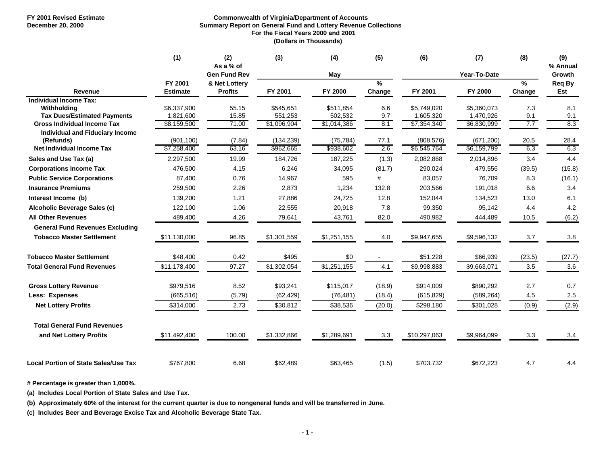#### **FY 2001 Revised Estimate Commonwealth of Virginia/Department of Accounts December 20, 2000 19 <b>COLLEG 10 COLLEG Summary Report on General Fund and Lottery Revenue Collections For the Fiscal Years 2000 and 2001 (Dollars in Thousands)**

|                                                     | (1)                        | (2)<br>As a % of                | (3)         | (4)         | (5)                     | (6)          | (7)          | (8)         | (9)<br>% Annual |
|-----------------------------------------------------|----------------------------|---------------------------------|-------------|-------------|-------------------------|--------------|--------------|-------------|-----------------|
|                                                     |                            | <b>Gen Fund Rev</b>             |             | May         |                         |              | Year-To-Date |             | Growth          |
| Revenue                                             | FY 2001<br><b>Estimate</b> | & Net Lottery<br><b>Profits</b> | FY 2001     | FY 2000     | $\frac{9}{6}$<br>Change | FY 2001      | FY 2000      | %<br>Change | Req By<br>Est   |
| <b>Individual Income Tax:</b>                       |                            |                                 |             |             |                         |              |              |             |                 |
| Withholdina                                         | \$6,337,900                | 55.15                           | \$545,651   | \$511,854   | 6.6                     | \$5,749,020  | \$5,360,073  | 7.3         | 8.1             |
| <b>Tax Dues/Estimated Payments</b>                  | 1,821,600                  | 15.85                           | 551,253     | 502,532     | 9.7                     | 1,605,320    | 1,470,926    | 9.1         | 9.1             |
| <b>Gross Individual Income Tax</b>                  | \$8,159,500                | 71.00                           | \$1,096,904 | \$1,014,386 | 8.1                     | \$7,354,340  | \$6,830,999  | 7.7         | 8.3             |
| <b>Individual and Fiduciary Income</b><br>(Refunds) | (901, 100)                 | (7.84)                          | (134, 239)  | (75, 784)   | 77.1                    | (808, 576)   | (671, 200)   | 20.5        | 28.4            |
| <b>Net Individual Income Tax</b>                    | \$7,258,400                | 63.16                           | \$962,665   | \$938,602   | 2.6                     | \$6,545,764  | \$6,159,799  | 6.3         | 6.3             |
| Sales and Use Tax (a)                               | 2,297,500                  | 19.99                           | 184,726     | 187,225     | (1.3)                   | 2,082,868    | 2,014,896    | 3.4         | 4.4             |
| <b>Corporations Income Tax</b>                      | 476,500                    | 4.15                            | 6,246       | 34,095      | (81.7)                  | 290,024      | 479,556      | (39.5)      | (15.8)          |
| <b>Public Service Corporations</b>                  | 87,400                     | 0.76                            | 14,967      | 595         | #                       | 83,057       | 76,709       | 8.3         | (16.1)          |
| <b>Insurance Premiums</b>                           | 259,500                    | 2.26                            | 2,873       | 1,234       | 132.8                   | 203,566      | 191,018      | 6.6         | 3.4             |
| Interest Income (b)                                 | 139,200                    | 1.21                            | 27,886      | 24,725      | 12.8                    | 152,044      | 134,523      | 13.0        | 6.1             |
| Alcoholic Beverage Sales (c)                        | 122,100                    | 1.06                            | 22,555      | 20,918      | 7.8                     | 99,350       | 95,142       | 4.4         | 4.2             |
| <b>All Other Revenues</b>                           | 489,400                    | 4.26                            | 79,641      | 43,761      | 82.0                    | 490,982      | 444,489      | 10.5        | (6.2)           |
| <b>General Fund Revenues Excluding</b>              |                            |                                 |             |             |                         |              |              |             |                 |
| <b>Tobacco Master Settlement</b>                    | \$11,130,000               | 96.85                           | \$1,301,559 | \$1,251,155 | 4.0                     | \$9,947,655  | \$9,596,132  | 3.7         | 3.8             |
| <b>Tobacco Master Settlement</b>                    | \$48,400                   | 0.42                            | \$495       | \$0         |                         | \$51,228     | \$66,939     | (23.5)      | (27.7)          |
| <b>Total General Fund Revenues</b>                  | \$11,178,400               | 97.27                           | \$1,302,054 | \$1,251,155 | 4.1                     | \$9,998,883  | \$9,663,071  | 3.5         | 3.6             |
| <b>Gross Lottery Revenue</b>                        | \$979,516                  | 8.52                            | \$93,241    | \$115,017   | (18.9)                  | \$914,009    | \$890,292    | 2.7         | 0.7             |
| Less: Expenses                                      | (665, 516)                 | (5.79)                          | (62, 429)   | (76, 481)   | (18.4)                  | (615, 829)   | (589, 264)   | 4.5         | 2.5             |
| <b>Net Lottery Profits</b>                          | \$314,000                  | 2.73                            | \$30,812    | \$38,536    | (20.0)                  | \$298,180    | \$301,028    | (0.9)       | (2.9)           |
| <b>Total General Fund Revenues</b>                  |                            |                                 |             |             |                         |              |              |             |                 |
| and Net Lottery Profits                             | \$11,492,400               | 100.00                          | \$1,332,866 | \$1,289,691 | 3.3                     | \$10,297,063 | \$9,964,099  | 3.3         | 3.4             |
| <b>Local Portion of State Sales/Use Tax</b>         | \$767.800                  | 6.68                            | \$62,489    | \$63,465    | (1.5)                   | \$703,732    | \$672,223    | 4.7         | 4.4             |

**# Percentage is greater than 1,000%.**

**(a) Includes Local Portion of State Sales and Use Tax.**

**(b) Approximately 60% of the interest for the current quarter is due to nongeneral funds and will be transferred in June.**

**(c) Includes Beer and Beverage Excise Tax and Alcoholic Beverage State Tax.**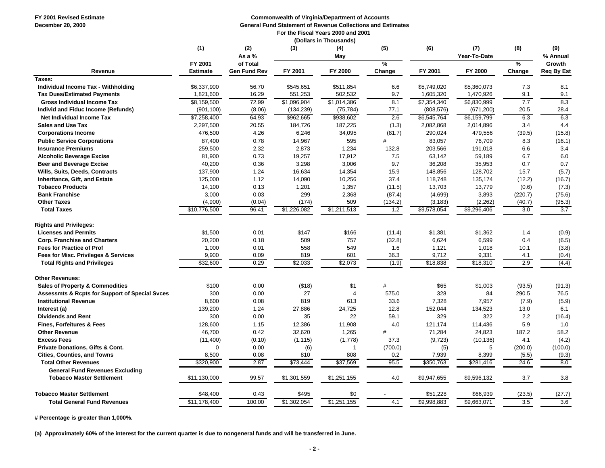**FY 2001 Revised Estimate Commonwealth of Virginia/Department of Accounts**

**December 20, 2000 19. In the contract of Revenue Collections and Estimates Collections and Estimates** 

 **For the Fiscal Years 2000 and 2001**

|                                                           |                 |                     |             | (Dollars in Thousands) |         |             |                     |                  |                  |
|-----------------------------------------------------------|-----------------|---------------------|-------------|------------------------|---------|-------------|---------------------|------------------|------------------|
|                                                           | (1)             | (2)<br>As a %       | (3)         | (4)<br>May             | (5)     | (6)         | (7)<br>Year-To-Date | (8)              | (9)<br>% Annual  |
|                                                           | FY 2001         | of Total            |             |                        | $\%$    |             |                     | $\frac{9}{6}$    | Growth           |
| Revenue                                                   | <b>Estimate</b> | <b>Gen Fund Rev</b> | FY 2001     | FY 2000                | Change  | FY 2001     | FY 2000             | Change           | Req By Est       |
| Taxes:                                                    |                 |                     |             |                        |         |             |                     |                  |                  |
| Individual Income Tax - Withholding                       | \$6,337,900     | 56.70               | \$545,651   | \$511,854              | 6.6     | \$5,749,020 | \$5,360,073         | 7.3              | 8.1              |
| <b>Tax Dues/Estimated Payments</b>                        | 1,821,600       | 16.29               | 551,253     | 502,532                | 9.7     | 1,605,320   | 1,470,926           | 9.1              | 9.1              |
| <b>Gross Individual Income Tax</b>                        | \$8,159,500     | 72.99               | \$1,096,904 | \$1,014,386            | 8.1     | \$7,354,340 | \$6,830,999         | 7.7              | 8.3              |
| Individ and Fiduc Income (Refunds)                        | (901, 100)      | (8.06)              | (134, 239)  | (75, 784)              | 77.1    | (808, 576)  | (671, 200)          | 20.5             | 28.4             |
| Net Individual Income Tax                                 | \$7,258,400     | 64.93               | \$962,665   | \$938,602              | 2.6     | \$6,545,764 | \$6,159,799         | 6.3              | 6.3              |
| <b>Sales and Use Tax</b>                                  | 2,297,500       | 20.55               | 184,726     | 187,225                | (1.3)   | 2,082,868   | 2,014,896           | 3.4              | 4.4              |
| <b>Corporations Income</b>                                | 476,500         | 4.26                | 6,246       | 34,095                 | (81.7)  | 290,024     | 479,556             | (39.5)           | (15.8)           |
| <b>Public Service Corporations</b>                        | 87,400          | 0.78                | 14,967      | 595                    | #       | 83,057      | 76,709              | 8.3              | (16.1)           |
| <b>Insurance Premiums</b>                                 | 259,500         | 2.32                | 2,873       | 1,234                  | 132.8   | 203,566     | 191,018             | 6.6              | 3.4              |
| <b>Alcoholic Beverage Excise</b>                          | 81,900          | 0.73                | 19,257      | 17,912                 | 7.5     | 63,142      | 59,189              | 6.7              | 6.0              |
| <b>Beer and Beverage Excise</b>                           | 40,200          | 0.36                | 3,298       | 3,006                  | 9.7     | 36,208      | 35,953              | 0.7              | 0.7              |
| Wills, Suits, Deeds, Contracts                            | 137,900         | 1.24                | 16,634      | 14,354                 | 15.9    | 148,856     | 128,702             | 15.7             | (5.7)            |
| Inheritance, Gift, and Estate                             | 125,000         | 1.12                | 14,090      | 10,256                 | 37.4    | 118,748     | 135,174             | (12.2)           | (16.7)           |
| <b>Tobacco Products</b>                                   | 14,100          | 0.13                | 1,201       | 1,357                  | (11.5)  | 13,703      | 13,779              | (0.6)            | (7.3)            |
| <b>Bank Franchise</b>                                     | 3,000           | 0.03                | 299         | 2,368                  | (87.4)  | (4,699)     | 3,893               | (220.7)          | (75.6)           |
| <b>Other Taxes</b>                                        | (4,900)         | (0.04)              | (174)       | 509                    | (134.2) | (3, 183)    | (2, 262)            | (40.7)           | (95.3)           |
| <b>Total Taxes</b>                                        | \$10,776,500    | 96.41               | \$1,226,082 | \$1,211,513            | 1.2     | \$9,578,054 | \$9,296,406         | 3.0              | 3.7              |
| <b>Rights and Privileges:</b>                             |                 |                     |             |                        |         |             |                     |                  |                  |
| <b>Licenses and Permits</b>                               | \$1,500         | 0.01                | \$147       | \$166                  | (11.4)  | \$1,381     | \$1,362             | 1.4              | (0.9)            |
| <b>Corp. Franchise and Charters</b>                       | 20,200          | 0.18                | 509         | 757                    | (32.8)  | 6,624       | 6,599               | 0.4              | (6.5)            |
| <b>Fees for Practice of Prof</b>                          | 1,000           | 0.01                | 558         | 549                    | 1.6     | 1,121       | 1,018               | 10.1             | (3.8)            |
| Fees for Misc. Privileges & Services                      | 9,900           | 0.09                | 819         | 601                    | 36.3    | 9,712       | 9,331               | 4.1              | (0.4)            |
| <b>Total Rights and Privileges</b>                        | \$32,600        | 0.29                | \$2,033     | \$2,073                | (1.9)   | \$18,838    | \$18,310            | 2.9              | (4.4)            |
| <b>Other Revenues:</b>                                    |                 |                     |             |                        |         |             |                     |                  |                  |
| <b>Sales of Property &amp; Commodities</b>                | \$100           | 0.00                | ( \$18)     | \$1                    | #       | \$65        | \$1,003             | (93.5)           | (91.3)           |
| <b>Assessmts &amp; Rcpts for Support of Special Svces</b> | 300             | 0.00                | 27          | 4                      | 575.0   | 328         | 84                  | 290.5            | 76.5             |
| <b>Institutional Revenue</b>                              | 8,600           | 0.08                | 819         | 613                    | 33.6    | 7,328       | 7,957               | (7.9)            | (5.9)            |
| Interest (a)                                              | 139,200         | 1.24                | 27,886      | 24,725                 | 12.8    | 152,044     | 134,523             | 13.0             | 6.1              |
| <b>Dividends and Rent</b>                                 | 300             | 0.00                | 35          | 22                     | 59.1    | 329         | 322                 | 2.2              | (16.4)           |
| <b>Fines, Forfeitures &amp; Fees</b>                      | 128,600         | 1.15                | 12,386      | 11,908                 | 4.0     | 121,174     | 114,436             | 5.9              | 1.0              |
| <b>Other Revenue</b>                                      | 46,700          | 0.42                | 32,620      | 1,265                  | #       | 71,284      | 24,823              | 187.2            | 58.2             |
| <b>Excess Fees</b>                                        | (11, 400)       | (0.10)              | (1, 115)    | (1,778)                | 37.3    | (9, 723)    | (10, 136)           | 4.1              | (4.2)            |
| <b>Private Donations, Gifts &amp; Cont.</b>               | $\Omega$        | 0.00                | (6)         | 1                      | (700.0) | (5)         | 5                   | (200.0)          | (100.0)          |
| <b>Cities, Counties, and Towns</b>                        | 8,500           | 0.08                | 810         | 808                    | 0.2     | 7,939       | 8,399               | (5.5)            | (9.3)            |
| <b>Total Other Revenues</b>                               | \$320,900       | 2.87                | \$73,444    | \$37,569               | 95.5    | \$350,763   | \$281,416           | 24.6             | 8.0              |
| <b>General Fund Revenues Excluding</b>                    |                 |                     |             |                        |         |             |                     |                  |                  |
| <b>Tobacco Master Settlement</b>                          | \$11,130,000    | 99.57               | \$1,301,559 | \$1,251,155            | 4.0     | \$9,947,655 | \$9,596,132         | 3.7              | 3.8              |
| <b>Tobacco Master Settlement</b>                          | \$48,400        | 0.43                | \$495       | \$0                    |         | \$51,228    | \$66,939            | (23.5)           | (27.7)           |
| <b>Total General Fund Revenues</b>                        | \$11,178,400    | 100.00              | \$1,302,054 | \$1,251,155            | 4.1     | \$9,998,883 | \$9,663,071         | $\overline{3.5}$ | $\overline{3.6}$ |
|                                                           |                 |                     |             |                        |         |             |                     |                  |                  |

**# Percentage is greater than 1,000%.**

**(a) Approximately 60% of the interest for the current quarter is due to nongeneral funds and will be transferred in June.**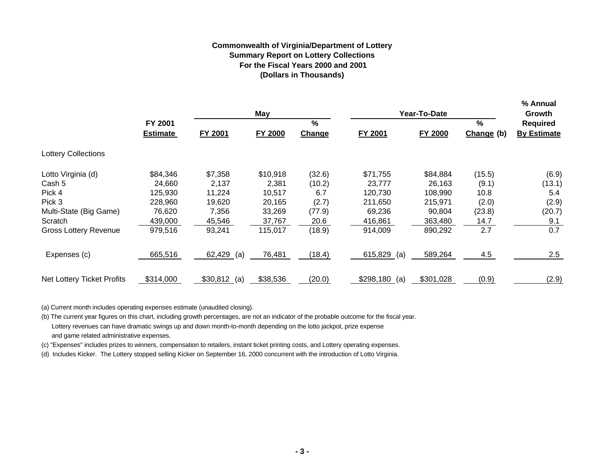### **Commonwealth of Virginia/Department of Lottery Summary Report on Lottery Collections For the Fiscal Years 2000 and 2001(Dollars in Thousands)**

|                              |                 |                | May      |        |                  | Year-To-Date |            | % Annual<br>Growth |
|------------------------------|-----------------|----------------|----------|--------|------------------|--------------|------------|--------------------|
|                              | FY 2001         |                |          | %      |                  |              | %          | Required           |
|                              | <b>Estimate</b> | <b>FY 2001</b> | FY 2000  | Change | FY 2001          | FY 2000      | Change (b) | <b>By Estimate</b> |
| <b>Lottery Collections</b>   |                 |                |          |        |                  |              |            |                    |
| Lotto Virginia (d)           | \$84,346        | \$7,358        | \$10,918 | (32.6) | \$71,755         | \$84,884     | (15.5)     | (6.9)              |
| Cash 5                       | 24,660          | 2,137          | 2,381    | (10.2) | 23,777           | 26,163       | (9.1)      | (13.1)             |
| Pick 4                       | 125,930         | 11,224         | 10,517   | 6.7    | 120,730          | 108,990      | 10.8       | 5.4                |
| Pick 3                       | 228,960         | 19,620         | 20,165   | (2.7)  | 211,650          | 215,971      | (2.0)      | (2.9)              |
| Multi-State (Big Game)       | 76,620          | 7,356          | 33,269   | (77.9) | 69,236           | 90,804       | (23.8)     | (20.7)             |
| Scratch                      | 439,000         | 45,546         | 37,767   | 20.6   | 416,861          | 363,480      | 14.7       | 9.1                |
| <b>Gross Lottery Revenue</b> | 979,516         | 93,241         | 115,017  | (18.9) | 914,009          | 890,292      | 2.7        | 0.7                |
| Expenses (c)                 | 665,516         | $62,429$ (a)   | 76,481   | (18.4) | $615,829$ (a)    | 589,264      | 4.5        | 2.5                |
| Net Lottery Ticket Profits   | \$314,000       | $$30,812$ (a)  | \$38,536 | (20.0) | \$298,180<br>(a) | \$301,028    | (0.9)      | (2.9)              |

(a) Current month includes operating expenses estimate (unaudited closing).

(b) The current year figures on this chart, including growth percentages, are not an indicator of the probable outcome for the fiscal year. Lottery revenues can have dramatic swings up and down month-to-month depending on the lotto jackpot, prize expense and game related administrative expenses.

(c) "Expenses" includes prizes to winners, compensation to retailers, instant ticket printing costs, and Lottery operating expenses.

(d) Includes Kicker. The Lottery stopped selling Kicker on September 16, 2000 concurrent with the introduction of Lotto Virginia.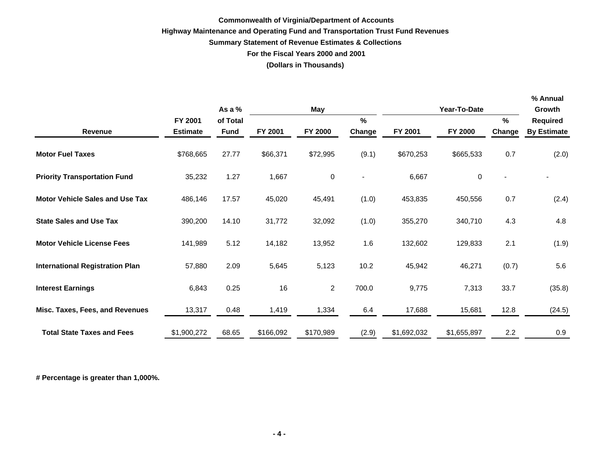### **Commonwealth of Virginia/Department of Accounts Highway Maintenance and Operating Fund and Transportation Trust Fund Revenues Summary Statement of Revenue Estimates & Collections For the Fiscal Years 2000 and 2001 (Dollars in Thousands)**

**% Annual**

|                                        |                 | As a %      | <b>May</b> |                |        | Year-To-Date |                |        | Growth             |
|----------------------------------------|-----------------|-------------|------------|----------------|--------|--------------|----------------|--------|--------------------|
|                                        | FY 2001         | of Total    |            |                | $\%$   |              |                | %      | <b>Required</b>    |
| <b>Revenue</b>                         | <b>Estimate</b> | <b>Fund</b> | FY 2001    | FY 2000        | Change | FY 2001      | <b>FY 2000</b> | Change | <b>By Estimate</b> |
| <b>Motor Fuel Taxes</b>                | \$768,665       | 27.77       | \$66,371   | \$72,995       | (9.1)  | \$670,253    | \$665,533      | 0.7    | (2.0)              |
| <b>Priority Transportation Fund</b>    | 35,232          | 1.27        | 1,667      | 0              |        | 6,667        | 0              |        |                    |
| <b>Motor Vehicle Sales and Use Tax</b> | 486,146         | 17.57       | 45,020     | 45,491         | (1.0)  | 453,835      | 450,556        | 0.7    | (2.4)              |
| <b>State Sales and Use Tax</b>         | 390,200         | 14.10       | 31,772     | 32,092         | (1.0)  | 355,270      | 340,710        | 4.3    | 4.8                |
| <b>Motor Vehicle License Fees</b>      | 141,989         | 5.12        | 14,182     | 13,952         | 1.6    | 132,602      | 129,833        | 2.1    | (1.9)              |
| <b>International Registration Plan</b> | 57,880          | 2.09        | 5,645      | 5,123          | 10.2   | 45,942       | 46,271         | (0.7)  | 5.6                |
| <b>Interest Earnings</b>               | 6,843           | 0.25        | 16         | $\overline{2}$ | 700.0  | 9,775        | 7,313          | 33.7   | (35.8)             |
| Misc. Taxes, Fees, and Revenues        | 13,317          | 0.48        | 1,419      | 1,334          | 6.4    | 17,688       | 15,681         | 12.8   | (24.5)             |
| <b>Total State Taxes and Fees</b>      | \$1,900,272     | 68.65       | \$166,092  | \$170,989      | (2.9)  | \$1,692,032  | \$1,655,897    | 2.2    | 0.9                |

**# Percentage is greater than 1,000%.**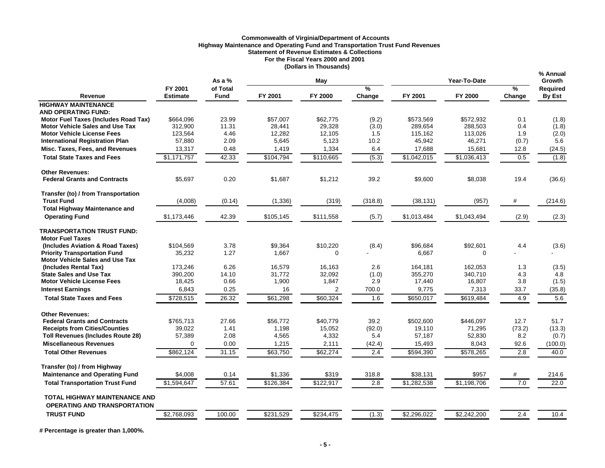### **Commonwealth of Virginia/Department of Accounts Highway Maintenance and Operating Fund and Transportation Trust Fund Revenues Statement of Revenue Estimates & Collections For the Fiscal Years 2000 and 2001 (Dollars in Thousands)**

|                                                                             |                            | As a $%$         |                 | May             |              |                   | Year-To-Date      |             | % Annual<br><b>Growth</b> |  |
|-----------------------------------------------------------------------------|----------------------------|------------------|-----------------|-----------------|--------------|-------------------|-------------------|-------------|---------------------------|--|
| Revenue                                                                     | FY 2001<br><b>Estimate</b> | of Total<br>Fund | FY 2001         | FY 2000         | %<br>Change  | FY 2001           | FY 2000           | %<br>Change | <b>Required</b><br>By Est |  |
| <b>HIGHWAY MAINTENANCE</b>                                                  |                            |                  |                 |                 |              |                   |                   |             |                           |  |
| <b>AND OPERATING FUND:</b>                                                  |                            |                  |                 |                 |              |                   |                   |             |                           |  |
| Motor Fuel Taxes (Includes Road Tax)                                        | \$664.096                  | 23.99            | \$57,007        | \$62,775        | (9.2)        | \$573.569         | \$572,932         | 0.1         | (1.8)                     |  |
| <b>Motor Vehicle Sales and Use Tax</b>                                      | 312.900                    | 11.31            | 28,441          | 29,328          | (3.0)        | 289.654           | 288,503           | 0.4         | (1.8)                     |  |
| <b>Motor Vehicle License Fees</b>                                           | 123,564                    | 4.46             | 12.282          | 12,105          | 1.5          | 115,162           | 113,026           | 1.9         | (2.0)                     |  |
| <b>International Registration Plan</b>                                      | 57,880                     | 2.09             | 5,645           | 5,123           | 10.2         | 45,942            | 46,271            | (0.7)       | 5.6                       |  |
| Misc. Taxes, Fees, and Revenues                                             | 13,317                     | 0.48             | 1,419           | 1,334           | 6.4          | 17,688            | 15,681            | 12.8        | (24.5)                    |  |
| <b>Total State Taxes and Fees</b>                                           | \$1,171,757                | 42.33            | \$104,794       | \$110,665       | (5.3)        | \$1,042,015       | \$1,036,413       | 0.5         | (1.8)                     |  |
| <b>Other Revenues:</b>                                                      |                            |                  |                 |                 |              |                   |                   |             |                           |  |
| <b>Federal Grants and Contracts</b>                                         | \$5,697                    | 0.20             | \$1,687         | \$1,212         | 39.2         | \$9,600           | \$8,038           | 19.4        | (36.6)                    |  |
| Transfer (to) / from Transportation                                         |                            |                  |                 |                 |              |                   |                   |             |                           |  |
| <b>Trust Fund</b>                                                           | (4,008)                    | (0.14)           | (1, 336)        | (319)           | (318.8)      | (38, 131)         | (957)             | #           | (214.6)                   |  |
| <b>Total Highway Maintenance and</b>                                        |                            |                  |                 |                 |              |                   |                   |             |                           |  |
| <b>Operating Fund</b>                                                       | \$1,173,446                | 42.39            | \$105,145       | \$111,558       | (5.7)        | \$1,013,484       | \$1,043,494       | (2.9)       | (2.3)                     |  |
| <b>TRANSPORTATION TRUST FUND:</b>                                           |                            |                  |                 |                 |              |                   |                   |             |                           |  |
| <b>Motor Fuel Taxes</b>                                                     |                            |                  |                 |                 |              |                   |                   |             |                           |  |
| (Includes Aviation & Road Taxes)                                            | \$104,569                  | 3.78             | \$9,364         | \$10,220        | (8.4)        | \$96,684          | \$92,601          | 4.4         | (3.6)                     |  |
| <b>Priority Transportation Fund</b>                                         | 35,232                     | 1.27             | 1,667           | $\Omega$        |              | 6,667             | $\mathbf 0$       |             |                           |  |
| <b>Motor Vehicle Sales and Use Tax</b>                                      |                            |                  |                 |                 |              |                   |                   |             |                           |  |
| (Includes Rental Tax)                                                       | 173,246                    | 6.26             | 16,579          | 16,163          | 2.6          | 164,181           | 162,053           | 1.3         | (3.5)                     |  |
| <b>State Sales and Use Tax</b><br><b>Motor Vehicle License Fees</b>         | 390,200<br>18,425          | 14.10<br>0.66    | 31,772<br>1,900 | 32,092<br>1,847 | (1.0)<br>2.9 | 355,270<br>17,440 | 340,710<br>16,807 | 4.3<br>3.8  | 4.8<br>(1.5)              |  |
|                                                                             | 6,843                      | 0.25             | 16              |                 | 700.0        | 9,775             |                   | 33.7        |                           |  |
| <b>Interest Earnings</b>                                                    |                            |                  |                 | $\overline{2}$  |              |                   | 7,313             |             | (35.8)                    |  |
| <b>Total State Taxes and Fees</b>                                           | $\frac{1}{2728,515}$       | 26.32            | \$61,298        | \$60,324        | 1.6          | \$650,017         | \$619,484         | 4.9         | 5.6                       |  |
| <b>Other Revenues:</b>                                                      |                            |                  |                 |                 |              |                   |                   |             |                           |  |
| <b>Federal Grants and Contracts</b>                                         | \$765,713                  | 27.66            | \$56,772        | \$40,779        | 39.2         | \$502,600         | \$446,097         | 12.7        | 51.7                      |  |
| <b>Receipts from Cities/Counties</b>                                        | 39,022                     | 1.41             | 1,198           | 15,052          | (92.0)       | 19,110            | 71,295            | (73.2)      | (13.3)                    |  |
| <b>Toll Revenues (Includes Route 28)</b>                                    | 57,389                     | 2.08             | 4,565           | 4,332           | 5.4          | 57,187            | 52,830            | 8.2         | (0.7)                     |  |
| <b>Miscellaneous Revenues</b>                                               | $\Omega$                   | 0.00             | 1,215           | 2,111           | (42.4)       | 15,493            | 8,043             | 92.6        | (100.0)                   |  |
| <b>Total Other Revenues</b>                                                 | \$862,124                  | 31.15            | \$63,750        | \$62,274        | 2.4          | \$594,390         | \$578,265         | 2.8         | 40.0                      |  |
| Transfer (to) / from Highway                                                |                            |                  |                 |                 |              |                   |                   |             |                           |  |
| <b>Maintenance and Operating Fund</b>                                       | \$4,008                    | 0.14             | \$1,336         | \$319           | 318.8        | \$38,131          | \$957             | #           | 214.6                     |  |
| <b>Total Transportation Trust Fund</b>                                      | \$1,594,647                | 57.61            | \$126,384       | \$122,917       | 2.8          | \$1,282,538       | \$1,198,706       | 7.0         | 22.0                      |  |
| <b>TOTAL HIGHWAY MAINTENANCE AND</b><br><b>OPERATING AND TRANSPORTATION</b> |                            |                  |                 |                 |              |                   |                   |             |                           |  |
| <b>TRUST FUND</b>                                                           | \$2,768,093                | 100.00           | \$231,529       | \$234,475       | (1.3)        | \$2,296,022       | \$2,242,200       | 2.4         | 10.4                      |  |
|                                                                             |                            |                  |                 |                 |              |                   |                   |             |                           |  |

**# Percentage is greater than 1,000%.**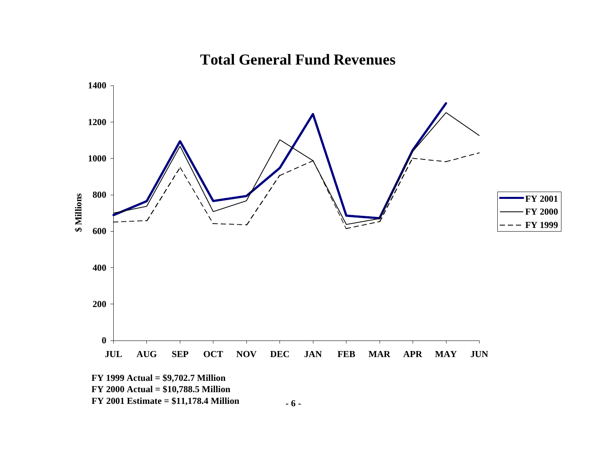

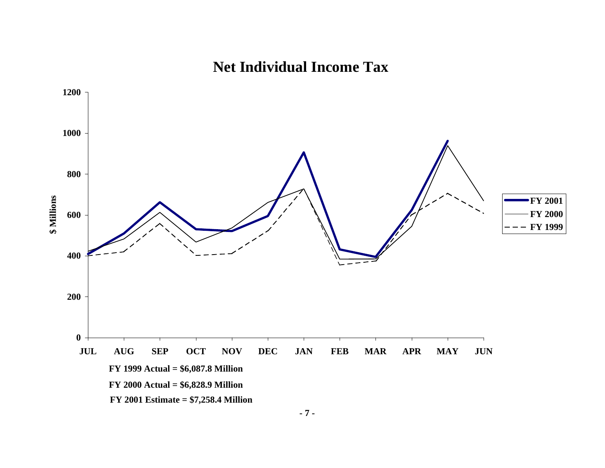# **Net Individual Income Tax**

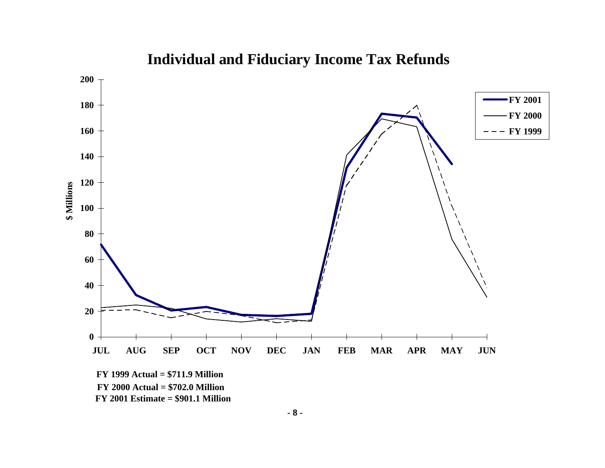

# **Individual and Fiduciary Income Tax Refunds**

**- 8 -**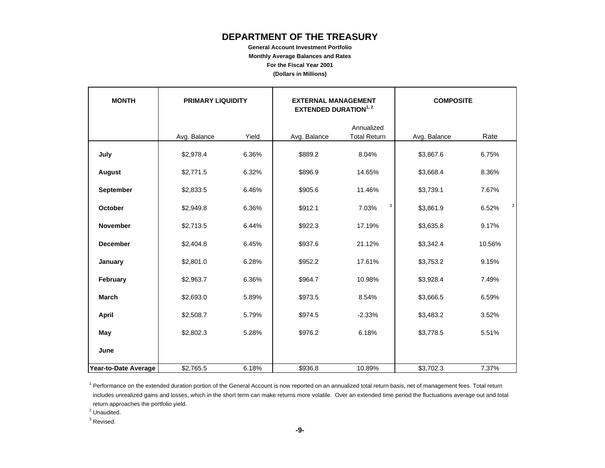## **DEPARTMENT OF THE TREASURY**

**General Account Investment Portfolio Monthly Average Balances and Rates For the Fiscal Year 2001 (Dollars in Millions)**

| <b>MONTH</b>         | <b>PRIMARY LIQUIDITY</b> | <b>COMPOSITE</b><br><b>EXTERNAL MANAGEMENT</b><br><b>EXTENDED DURATION1, 2</b> |              |                                   |              |            |
|----------------------|--------------------------|--------------------------------------------------------------------------------|--------------|-----------------------------------|--------------|------------|
|                      | Avg. Balance             | Yield                                                                          | Avg. Balance | Annualized<br><b>Total Return</b> | Avg. Balance | Rate       |
| July                 | \$2,978.4                | 6.36%                                                                          | \$889.2      | 8.04%                             | \$3,867.6    | 6.75%      |
| <b>August</b>        | \$2,771.5                | 6.32%                                                                          | \$896.9      | 14.65%                            | \$3,668.4    | 8.36%      |
| September            | \$2,833.5                | 6.46%                                                                          | \$905.6      | 11.46%                            | \$3,739.1    | 7.67%      |
| October              | \$2,949.8                | 6.36%                                                                          | \$912.1      | 3<br>7.03%                        | \$3,861.9    | 3<br>6.52% |
| <b>November</b>      | \$2,713.5                | 6.44%                                                                          | \$922.3      | 17.19%                            | \$3,635.8    | 9.17%      |
| <b>December</b>      | \$2,404.8                | 6.45%                                                                          | \$937.6      | 21.12%                            | \$3,342.4    | 10.56%     |
| January              | \$2,801.0                | 6.28%                                                                          | \$952.2      | 17.61%                            | \$3,753.2    | 9.15%      |
| February             | \$2,963.7                | 6.36%                                                                          | \$964.7      | 10.98%                            | \$3,928.4    | 7.49%      |
| <b>March</b>         | \$2,693.0                | 5.89%                                                                          | \$973.5      | 8.54%                             | \$3,666.5    | 6.59%      |
| April                | \$2,508.7                | 5.79%                                                                          | \$974.5      | $-2.33%$                          | \$3,483.2    | 3.52%      |
| May                  | \$2,802.3                | 5.28%                                                                          | \$976.2      | 6.18%                             | \$3,778.5    | 5.51%      |
| June                 |                          |                                                                                |              |                                   |              |            |
| Year-to-Date Average | \$2,765.5                | 6.18%                                                                          | \$936.8      | 10.89%                            | \$3,702.3    | 7.37%      |

<sup>1</sup> Performance on the extended duration portion of the General Account is now reported on an annualized total return basis, net of management fees. Total return includes unrealized gains and losses, which in the short term can make returns more volatile. Over an extended time period the fluctuations average out and total return approaches the portfolio yield.

<sup>2</sup> Unaudited.

<sup>3</sup> Revised.